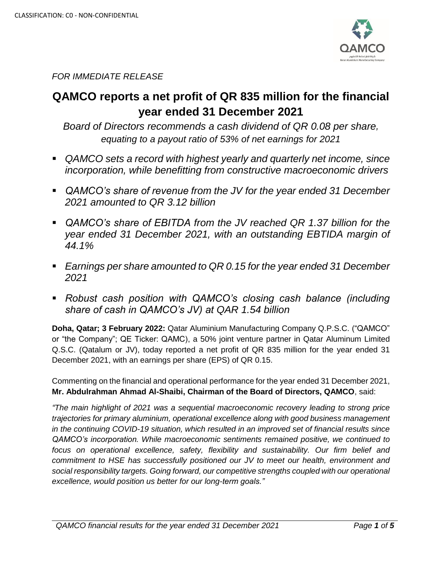

*FOR IMMEDIATE RELEASE*

# **QAMCO reports a net profit of QR 835 million for the financial year ended 31 December 2021**

*Board of Directors recommends a cash dividend of QR 0.08 per share, equating to a payout ratio of 53% of net earnings for 2021*

- *QAMCO sets a record with highest yearly and quarterly net income, since incorporation, while benefitting from constructive macroeconomic drivers*
- *QAMCO's share of revenue from the JV for the year ended 31 December 2021 amounted to QR 3.12 billion*
- *QAMCO's share of EBITDA from the JV reached QR 1.37 billion for the year ended 31 December 2021, with an outstanding EBTIDA margin of 44.1%*
- *Earnings per share amounted to QR 0.15 for the year ended 31 December 2021*
- *Robust cash position with QAMCO's closing cash balance (including share of cash in QAMCO's JV) at QAR 1.54 billion*

**Doha, Qatar; 3 February 2022:** Qatar Aluminium Manufacturing Company Q.P.S.C. ("QAMCO" or "the Company"; QE Ticker: QAMC), a 50% joint venture partner in Qatar Aluminum Limited Q.S.C. (Qatalum or JV), today reported a net profit of QR 835 million for the year ended 31 December 2021, with an earnings per share (EPS) of QR 0.15.

Commenting on the financial and operational performance for the year ended 31 December 2021, **Mr. Abdulrahman Ahmad Al-Shaibi, Chairman of the Board of Directors, QAMCO**, said:

*"The main highlight of 2021 was a sequential macroeconomic recovery leading to strong price trajectories for primary aluminium, operational excellence along with good business management in the continuing COVID-19 situation, which resulted in an improved set of financial results since QAMCO's incorporation. While macroeconomic sentiments remained positive, we continued to focus on operational excellence, safety, flexibility and sustainability. Our firm belief and commitment to HSE has successfully positioned our JV to meet our health, environment and social responsibility targets. Going forward, our competitive strengths coupled with our operational excellence, would position us better for our long-term goals."*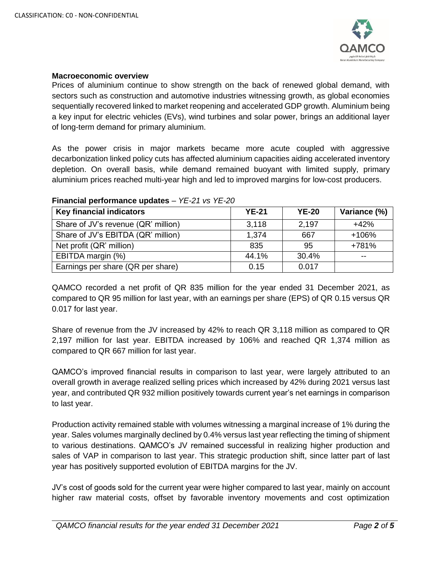

## **Macroeconomic overview**

Prices of aluminium continue to show strength on the back of renewed global demand, with sectors such as construction and automotive industries witnessing growth, as global economies sequentially recovered linked to market reopening and accelerated GDP growth. Aluminium being a key input for electric vehicles (EVs), wind turbines and solar power, brings an additional layer of long-term demand for primary aluminium.

As the power crisis in major markets became more acute coupled with aggressive decarbonization linked policy cuts has affected aluminium capacities aiding accelerated inventory depletion. On overall basis, while demand remained buoyant with limited supply, primary aluminium prices reached multi-year high and led to improved margins for low-cost producers.

| <b>Key financial indicators</b>     | <b>YE-21</b> | <b>YE-20</b> | Variance (%) |  |  |
|-------------------------------------|--------------|--------------|--------------|--|--|
| Share of JV's revenue (QR' million) | 3,118        | 2,197        | $+42%$       |  |  |
| Share of JV's EBITDA (QR' million)  | 1,374        | 667          | $+106%$      |  |  |
| Net profit (QR' million)            | 835          | 95           | +781%        |  |  |
| EBITDA margin (%)                   | 44.1%        | 30.4%        | $- -$        |  |  |
| Earnings per share (QR per share)   | 0.15         | 0.017        |              |  |  |

## **Financial performance updates** – *YE-21 vs YE-20*

QAMCO recorded a net profit of QR 835 million for the year ended 31 December 2021, as compared to QR 95 million for last year, with an earnings per share (EPS) of QR 0.15 versus QR 0.017 for last year.

Share of revenue from the JV increased by 42% to reach QR 3,118 million as compared to QR 2,197 million for last year. EBITDA increased by 106% and reached QR 1,374 million as compared to QR 667 million for last year.

QAMCO's improved financial results in comparison to last year, were largely attributed to an overall growth in average realized selling prices which increased by 42% during 2021 versus last year, and contributed QR 932 million positively towards current year's net earnings in comparison to last year.

Production activity remained stable with volumes witnessing a marginal increase of 1% during the year. Sales volumes marginally declined by 0.4% versus last year reflecting the timing of shipment to various destinations. QAMCO's JV remained successful in realizing higher production and sales of VAP in comparison to last year. This strategic production shift, since latter part of last year has positively supported evolution of EBITDA margins for the JV.

JV's cost of goods sold for the current year were higher compared to last year, mainly on account higher raw material costs, offset by favorable inventory movements and cost optimization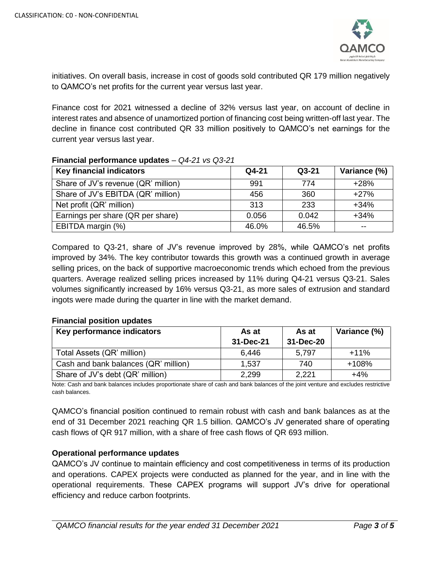

initiatives. On overall basis, increase in cost of goods sold contributed QR 179 million negatively to QAMCO's net profits for the current year versus last year.

Finance cost for 2021 witnessed a decline of 32% versus last year, on account of decline in interest rates and absence of unamortized portion of financing cost being written-off last year. The decline in finance cost contributed QR 33 million positively to QAMCO's net earnings for the current year versus last year.

| <b>Key financial indicators</b>     | Q4-21 | $Q3-21$ | Variance (%) |  |
|-------------------------------------|-------|---------|--------------|--|
| Share of JV's revenue (QR' million) | 991   | 774     | $+28%$       |  |
| Share of JV's EBITDA (QR' million)  | 456   | 360     | $+27%$       |  |
| Net profit (QR' million)            | 313   | 233     | $+34%$       |  |
| Earnings per share (QR per share)   | 0.056 | 0.042   | $+34%$       |  |
| EBITDA margin (%)                   | 46.0% | 46.5%   | --           |  |

## **Financial performance updates** – *Q4-21 vs Q3-21*

Compared to Q3-21, share of JV's revenue improved by 28%, while QAMCO's net profits improved by 34%. The key contributor towards this growth was a continued growth in average selling prices, on the back of supportive macroeconomic trends which echoed from the previous quarters. Average realized selling prices increased by 11% during Q4-21 versus Q3-21. Sales volumes significantly increased by 16% versus Q3-21, as more sales of extrusion and standard ingots were made during the quarter in line with the market demand.

## **Financial position updates**

| Key performance indicators           | As at     | As at     | Variance (%) |
|--------------------------------------|-----------|-----------|--------------|
|                                      | 31-Dec-21 | 31-Dec-20 |              |
| Total Assets (QR' million)           | 6,446     | 5.797     | $+11%$       |
| Cash and bank balances (QR' million) | 1,537     | 740       | $+108%$      |
| Share of JV's debt (QR' million)     | 2,299     | 2,221     | $+4%$        |

Note: Cash and bank balances includes proportionate share of cash and bank balances of the joint venture and excludes restrictive cash balances.

QAMCO's financial position continued to remain robust with cash and bank balances as at the end of 31 December 2021 reaching QR 1.5 billion. QAMCO's JV generated share of operating cash flows of QR 917 million, with a share of free cash flows of QR 693 million.

## **Operational performance updates**

QAMCO's JV continue to maintain efficiency and cost competitiveness in terms of its production and operations. CAPEX projects were conducted as planned for the year, and in line with the operational requirements. These CAPEX programs will support JV's drive for operational efficiency and reduce carbon footprints.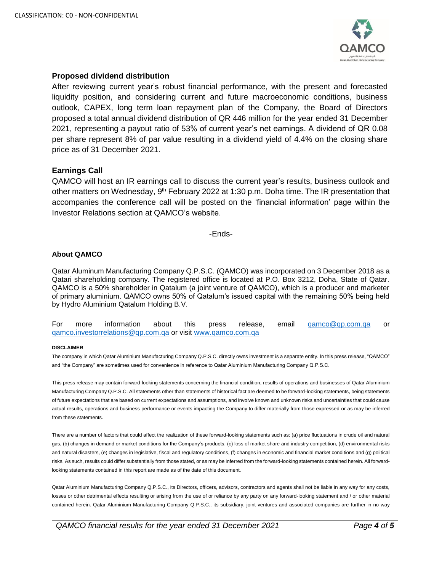

## **Proposed dividend distribution**

After reviewing current year's robust financial performance, with the present and forecasted liquidity position, and considering current and future macroeconomic conditions, business outlook, CAPEX, long term loan repayment plan of the Company, the Board of Directors proposed a total annual dividend distribution of QR 446 million for the year ended 31 December 2021, representing a payout ratio of 53% of current year's net earnings. A dividend of QR 0.08 per share represent 8% of par value resulting in a dividend yield of 4.4% on the closing share price as of 31 December 2021.

#### **Earnings Call**

QAMCO will host an IR earnings call to discuss the current year's results, business outlook and other matters on Wednesday, 9<sup>th</sup> February 2022 at 1:30 p.m. Doha time. The IR presentation that accompanies the conference call will be posted on the 'financial information' page within the Investor Relations section at QAMCO's website.

-Ends-

#### **About QAMCO**

Qatar Aluminum Manufacturing Company Q.P.S.C. (QAMCO) was incorporated on 3 December 2018 as a Qatari shareholding company. The registered office is located at P.O. Box 3212, Doha, State of Qatar. QAMCO is a 50% shareholder in Qatalum (a joint venture of QAMCO), which is a producer and marketer of primary aluminium. QAMCO owns 50% of Qatalum's issued capital with the remaining 50% being held by Hydro Aluminium Qatalum Holding B.V.

For more information about this press release, email [qamco@qp.com.qa](mailto:qamco@qp.com.qa) or [qamco.investorrelations@qp.com.qa](mailto:qamco.investorrelations@qp.com.qa) or visit [www.qamco.com.qa](http://www.qamco.com.qa/)

#### **DISCLAIMER**

The company in which Qatar Aluminium Manufacturing Company Q.P.S.C. directly owns investment is a separate entity. In this press release, "QAMCO" and "the Company" are sometimes used for convenience in reference to Qatar Aluminium Manufacturing Company Q.P.S.C.

This press release may contain forward-looking statements concerning the financial condition, results of operations and businesses of Qatar Aluminium Manufacturing Company Q.P.S.C. All statements other than statements of historical fact are deemed to be forward-looking statements, being statements of future expectations that are based on current expectations and assumptions, and involve known and unknown risks and uncertainties that could cause actual results, operations and business performance or events impacting the Company to differ materially from those expressed or as may be inferred from these statements.

There are a number of factors that could affect the realization of these forward-looking statements such as: (a) price fluctuations in crude oil and natural gas, (b) changes in demand or market conditions for the Company's products, (c) loss of market share and industry competition, (d) environmental risks and natural disasters, (e) changes in legislative, fiscal and regulatory conditions, (f) changes in economic and financial market conditions and (g) political risks. As such, results could differ substantially from those stated, or as may be inferred from the forward-looking statements contained herein. All forwardlooking statements contained in this report are made as of the date of this document.

Qatar Aluminium Manufacturing Company Q.P.S.C., its Directors, officers, advisors, contractors and agents shall not be liable in any way for any costs, losses or other detrimental effects resulting or arising from the use of or reliance by any party on any forward-looking statement and / or other material contained herein. Qatar Aluminium Manufacturing Company Q.P.S.C., its subsidiary, joint ventures and associated companies are further in no way